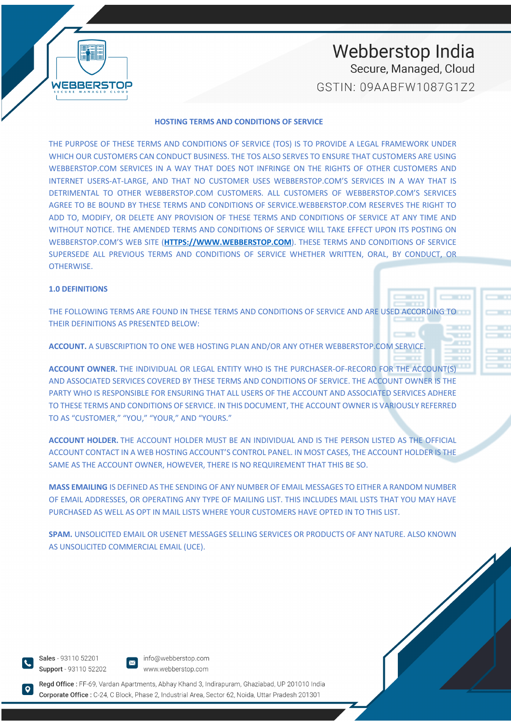#### **HOSTING TERMS AND CONDITIONS OF SERVICE**

THE PURPOSE OF THESE TERMS AND CONDITIONS OF SERVICE (TOS) IS TO PROVIDE A LEGAL FRAMEWORK UNDER WHICH OUR CUSTOMERS CAN CONDUCT BUSINESS. THE TOS ALSO SERVES TO ENSURE THAT CUSTOMERS ARE USING WEBBERSTOP.COM SERVICES IN A WAY THAT DOES NOT INFRINGE ON THE RIGHTS OF OTHER CUSTOMERS AND INTERNET USERS-AT-LARGE, AND THAT NO CUSTOMER USES WEBBERSTOP.COM'S SERVICES IN A WAY THAT IS DETRIMENTAL TO OTHER WEBBERSTOP.COM CUSTOMERS. ALL CUSTOMERS OF WEBBERSTOP.COM'S SERVICES AGREE TO BE BOUND BY THESE TERMS AND CONDITIONS OF SERVICE.WEBBERSTOP.COM RESERVES THE RIGHT TO ADD TO, MODIFY, OR DELETE ANY PROVISION OF THESE TERMS AND CONDITIONS OF SERVICE AT ANY TIME AND WITHOUT NOTICE. THE AMENDED TERMS AND CONDITIONS OF SERVICE WILL TAKE EFFECT UPON ITS POSTING ON WEBBERSTOP.COM'S WEB SITE (**HTTPS://WWW.WEBBERSTOP.COM**). THESE TERMS AND CONDITIONS OF SERVICE SUPERSEDE ALL PREVIOUS TERMS AND CONDITIONS OF SERVICE WHETHER WRITTEN, ORAL, BY CONDUCT, OR OTHERWISE.

#### **1.0 DEFINITIONS**

WEBBERSTOP

THE FOLLOWING TERMS ARE FOUND IN THESE TERMS AND CONDITIONS OF SERVICE AND ARE USED ACCORDING TO THEIR DEFINITIONS AS PRESENTED BELOW:

**ACCOUNT.** A SUBSCRIPTION TO ONE WEB HOSTING PLAN AND/OR ANY OTHER WEBBERSTOP.COM SERVICE.

**ACCOUNT OWNER.** THE INDIVIDUAL OR LEGAL ENTITY WHO IS THE PURCHASER-OF-RECORD FOR THE ACCOUNT(S) AND ASSOCIATED SERVICES COVERED BY THESE TERMS AND CONDITIONS OF SERVICE. THE ACCOUNT OWNER IS THE PARTY WHO IS RESPONSIBLE FOR ENSURING THAT ALL USERS OF THE ACCOUNT AND ASSOCIATED SERVICES ADHERE TO THESE TERMS AND CONDITIONS OF SERVICE. IN THIS DOCUMENT, THE ACCOUNT OWNER IS VARIOUSLY REFERRED TO AS "CUSTOMER," "YOU," "YOUR," AND "YOURS."

**ACCOUNT HOLDER.** THE ACCOUNT HOLDER MUST BE AN INDIVIDUAL AND IS THE PERSON LISTED AS THE OFFICIAL ACCOUNT CONTACT IN A WEB HOSTING ACCOUNT'S CONTROL PANEL. IN MOST CASES, THE ACCOUNT HOLDER IS THE SAME AS THE ACCOUNT OWNER, HOWEVER, THERE IS NO REQUIREMENT THAT THIS BE SO.

**MASS EMAILING** IS DEFINED AS THE SENDING OF ANY NUMBER OF EMAIL MESSAGES TO EITHER A RANDOM NUMBER OF EMAIL ADDRESSES, OR OPERATING ANY TYPE OF MAILING LIST. THIS INCLUDES MAIL LISTS THAT YOU MAY HAVE PURCHASED AS WELL AS OPT IN MAIL LISTS WHERE YOUR CUSTOMERS HAVE OPTED IN TO THIS LIST.

**SPAM.** UNSOLICITED EMAIL OR USENET MESSAGES SELLING SERVICES OR PRODUCTS OF ANY NATURE. ALSO KNOWN AS UNSOLICITED COMMERCIAL EMAIL (UCE).

Sales - 93110 52201 Support - 93110 52202

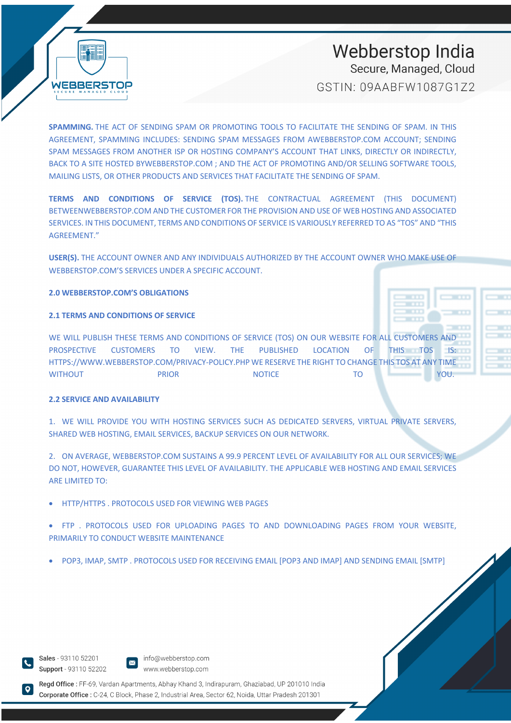

**SPAMMING.** THE ACT OF SENDING SPAM OR PROMOTING TOOLS TO FACILITATE THE SENDING OF SPAM. IN THIS AGREEMENT, SPAMMING INCLUDES: SENDING SPAM MESSAGES FROM AWEBBERSTOP.COM ACCOUNT; SENDING SPAM MESSAGES FROM ANOTHER ISP OR HOSTING COMPANY'S ACCOUNT THAT LINKS, DIRECTLY OR INDIRECTLY, BACK TO A SITE HOSTED BYWEBBERSTOP.COM ; AND THE ACT OF PROMOTING AND/OR SELLING SOFTWARE TOOLS, MAILING LISTS, OR OTHER PRODUCTS AND SERVICES THAT FACILITATE THE SENDING OF SPAM.

**TERMS AND CONDITIONS OF SERVICE (TOS).** THE CONTRACTUAL AGREEMENT (THIS DOCUMENT) BETWEENWEBBERSTOP.COM AND THE CUSTOMER FOR THE PROVISION AND USE OF WEB HOSTING AND ASSOCIATED SERVICES. IN THIS DOCUMENT, TERMS AND CONDITIONS OF SERVICE IS VARIOUSLY REFERRED TO AS "TOS" AND "THIS AGREEMENT."

**USER(S).** THE ACCOUNT OWNER AND ANY INDIVIDUALS AUTHORIZED BY THE ACCOUNT OWNER WHO MAKE USE OF WEBBERSTOP.COM'S SERVICES UNDER A SPECIFIC ACCOUNT.

**2.0 WEBBERSTOP.COM'S OBLIGATIONS**

#### **2.1 TERMS AND CONDITIONS OF SERVICE**

WE WILL PUBLISH THESE TERMS AND CONDITIONS OF SERVICE (TOS) ON OUR WEBSITE FOR ALL CUSTOMERS AND PROSPECTIVE CUSTOMERS TO VIEW. THE PUBLISHED LOCATION OF THIS TOS IS: HTTPS://WWW.WEBBERSTOP.COM/PRIVACY-POLICY.PHP WE RESERVE THE RIGHT TO CHANGE THIS TOS AT ANY TIME WITHOUT **RIOR RESERVE TO TO YOU.** WITHOUT **PRIOR** NOTICE TO TO YOU.

#### **2.2 SERVICE AND AVAILABILITY**

1. WE WILL PROVIDE YOU WITH HOSTING SERVICES SUCH AS DEDICATED SERVERS, VIRTUAL PRIVATE SERVERS, SHARED WEB HOSTING, EMAIL SERVICES, BACKUP SERVICES ON OUR NETWORK.

2. ON AVERAGE, WEBBERSTOP.COM SUSTAINS A 99.9 PERCENT LEVEL OF AVAILABILITY FOR ALL OUR SERVICES; WE DO NOT, HOWEVER, GUARANTEE THIS LEVEL OF AVAILABILITY. THE APPLICABLE WEB HOSTING AND EMAIL SERVICES ARE LIMITED TO:

• HTTP/HTTPS . PROTOCOLS USED FOR VIEWING WEB PAGES

• FTP . PROTOCOLS USED FOR UPLOADING PAGES TO AND DOWNLOADING PAGES FROM YOUR WEBSITE, PRIMARILY TO CONDUCT WEBSITE MAINTENANCE

• POP3, IMAP, SMTP . PROTOCOLS USED FOR RECEIVING EMAIL [POP3 AND IMAP] AND SENDING EMAIL [SMTP]

Sales - 93110 52201 Support - 93110 52202

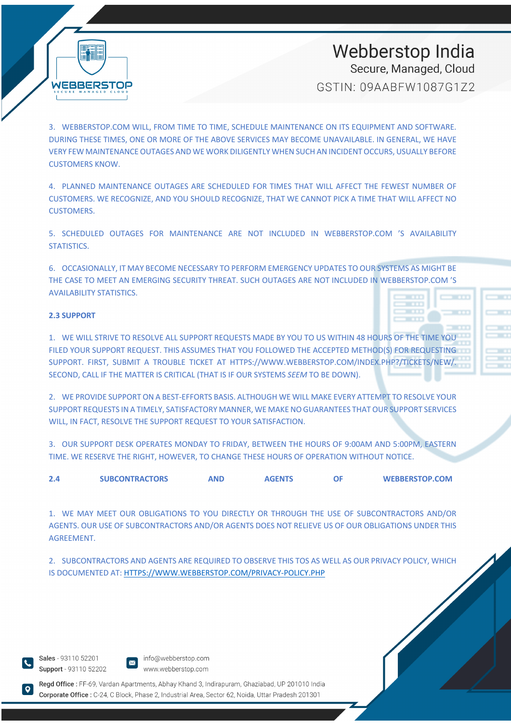**WEBBERSTOP** 

# Webberstop India Secure, Managed, Cloud

GSTIN: 09AABFW1087G172

3. WEBBERSTOP.COM WILL, FROM TIME TO TIME, SCHEDULE MAINTENANCE ON ITS EQUIPMENT AND SOFTWARE. DURING THESE TIMES, ONE OR MORE OF THE ABOVE SERVICES MAY BECOME UNAVAILABLE. IN GENERAL, WE HAVE VERY FEW MAINTENANCE OUTAGES AND WE WORK DILIGENTLY WHEN SUCH AN INCIDENT OCCURS, USUALLY BEFORE CUSTOMERS KNOW.

4. PLANNED MAINTENANCE OUTAGES ARE SCHEDULED FOR TIMES THAT WILL AFFECT THE FEWEST NUMBER OF CUSTOMERS. WE RECOGNIZE, AND YOU SHOULD RECOGNIZE, THAT WE CANNOT PICK A TIME THAT WILL AFFECT NO CUSTOMERS.

5. SCHEDULED OUTAGES FOR MAINTENANCE ARE NOT INCLUDED IN WEBBERSTOP.COM 'S AVAILABILITY STATISTICS.

6. OCCASIONALLY, IT MAY BECOME NECESSARY TO PERFORM EMERGENCY UPDATES TO OUR SYSTEMS AS MIGHT BE THE CASE TO MEET AN EMERGING SECURITY THREAT. SUCH OUTAGES ARE NOT INCLUDED IN WEBBERSTOP.COM 'S AVAILABILITY STATISTICS.

#### **2.3 SUPPORT**

1. WE WILL STRIVE TO RESOLVE ALL SUPPORT REQUESTS MADE BY YOU TO US WITHIN 48 HOURS OF THE TIME YOU FILED YOUR SUPPORT REQUEST. THIS ASSUMES THAT YOU FOLLOWED THE ACCEPTED METHOD(S) FOR REQUESTING SUPPORT. FIRST, SUBMIT A TROUBLE TICKET AT HTTPS://WWW.WEBBERSTOP.COM/INDEX.PHP?/TICKETS/NEW/. SECOND, CALL IF THE MATTER IS CRITICAL (THAT IS IF OUR SYSTEMS *SEEM* TO BE DOWN).

2. WE PROVIDE SUPPORT ON A BEST-EFFORTS BASIS. ALTHOUGH WE WILL MAKE EVERY ATTEMPT TO RESOLVE YOUR SUPPORT REQUESTS IN A TIMELY, SATISFACTORY MANNER, WE MAKE NO GUARANTEES THAT OUR SUPPORT SERVICES WILL, IN FACT, RESOLVE THE SUPPORT REQUEST TO YOUR SATISFACTION.

3. OUR SUPPORT DESK OPERATES MONDAY TO FRIDAY, BETWEEN THE HOURS OF 9:00AM AND 5:00PM, EASTERN TIME. WE RESERVE THE RIGHT, HOWEVER, TO CHANGE THESE HOURS OF OPERATION WITHOUT NOTICE.

| 2.4 | <b>SUBCONTRACTORS</b> | AND | <b>AGENTS</b> | <b>WEBBERSTOP.COM</b> |
|-----|-----------------------|-----|---------------|-----------------------|

1. WE MAY MEET OUR OBLIGATIONS TO YOU DIRECTLY OR THROUGH THE USE OF SUBCONTRACTORS AND/OR AGENTS. OUR USE OF SUBCONTRACTORS AND/OR AGENTS DOES NOT RELIEVE US OF OUR OBLIGATIONS UNDER THIS AGREEMENT.

2. SUBCONTRACTORS AND AGENTS ARE REQUIRED TO OBSERVE THIS TOS AS WELL AS OUR PRIVACY POLICY, WHICH IS DOCUMENTED AT: HTTPS://WWW.WEBBERSTOP.COM/PRIVACY-POLICY.PHP

Sales - 93110 52201 Support - 93110 52202





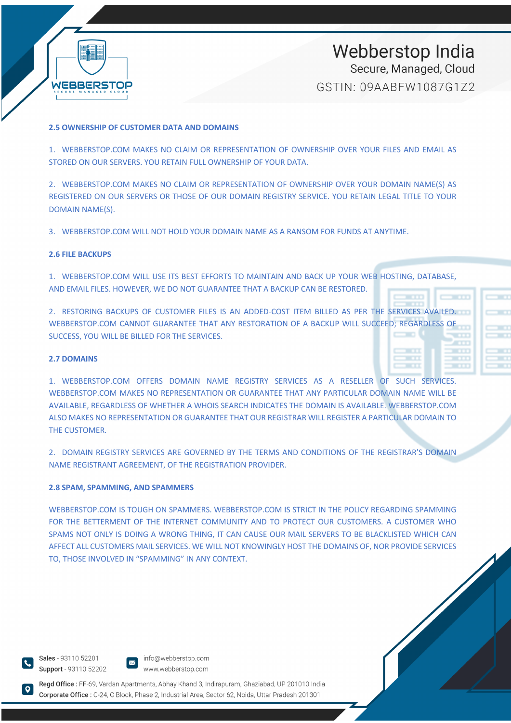

#### **2.5 OWNERSHIP OF CUSTOMER DATA AND DOMAINS**

1. WEBBERSTOP.COM MAKES NO CLAIM OR REPRESENTATION OF OWNERSHIP OVER YOUR FILES AND EMAIL AS STORED ON OUR SERVERS. YOU RETAIN FULL OWNERSHIP OF YOUR DATA.

2. WEBBERSTOP.COM MAKES NO CLAIM OR REPRESENTATION OF OWNERSHIP OVER YOUR DOMAIN NAME(S) AS REGISTERED ON OUR SERVERS OR THOSE OF OUR DOMAIN REGISTRY SERVICE. YOU RETAIN LEGAL TITLE TO YOUR DOMAIN NAME(S).

3. WEBBERSTOP.COM WILL NOT HOLD YOUR DOMAIN NAME AS A RANSOM FOR FUNDS AT ANYTIME.

#### **2.6 FILE BACKUPS**

1. WEBBERSTOP.COM WILL USE ITS BEST EFFORTS TO MAINTAIN AND BACK UP YOUR WEB HOSTING, DATABASE, AND EMAIL FILES. HOWEVER, WE DO NOT GUARANTEE THAT A BACKUP CAN BE RESTORED.

2. RESTORING BACKUPS OF CUSTOMER FILES IS AN ADDED-COST ITEM BILLED AS PER THE SERVICES AVAILED. WEBBERSTOP.COM CANNOT GUARANTEE THAT ANY RESTORATION OF A BACKUP WILL SUCCEED; REGARDLESS OF SUCCESS, YOU WILL BE BILLED FOR THE SERVICES.

#### **2.7 DOMAINS**

1. WEBBERSTOP.COM OFFERS DOMAIN NAME REGISTRY SERVICES AS A RESELLER OF SUCH SERVICES. WEBBERSTOP.COM MAKES NO REPRESENTATION OR GUARANTEE THAT ANY PARTICULAR DOMAIN NAME WILL BE AVAILABLE, REGARDLESS OF WHETHER A WHOIS SEARCH INDICATES THE DOMAIN IS AVAILABLE. WEBBERSTOP.COM ALSO MAKES NO REPRESENTATION OR GUARANTEE THAT OUR REGISTRAR WILL REGISTER A PARTICULAR DOMAIN TO THE CUSTOMER.

2. DOMAIN REGISTRY SERVICES ARE GOVERNED BY THE TERMS AND CONDITIONS OF THE REGISTRAR'S DOMAIN NAME REGISTRANT AGREEMENT, OF THE REGISTRATION PROVIDER.

#### **2.8 SPAM, SPAMMING, AND SPAMMERS**

WEBBERSTOP.COM IS TOUGH ON SPAMMERS. WEBBERSTOP.COM IS STRICT IN THE POLICY REGARDING SPAMMING FOR THE BETTERMENT OF THE INTERNET COMMUNITY AND TO PROTECT OUR CUSTOMERS. A CUSTOMER WHO SPAMS NOT ONLY IS DOING A WRONG THING, IT CAN CAUSE OUR MAIL SERVERS TO BE BLACKLISTED WHICH CAN AFFECT ALL CUSTOMERS MAIL SERVICES. WE WILL NOT KNOWINGLY HOST THE DOMAINS OF, NOR PROVIDE SERVICES TO, THOSE INVOLVED IN "SPAMMING" IN ANY CONTEXT.

Sales - 93110 52201 Support - 93110 52202

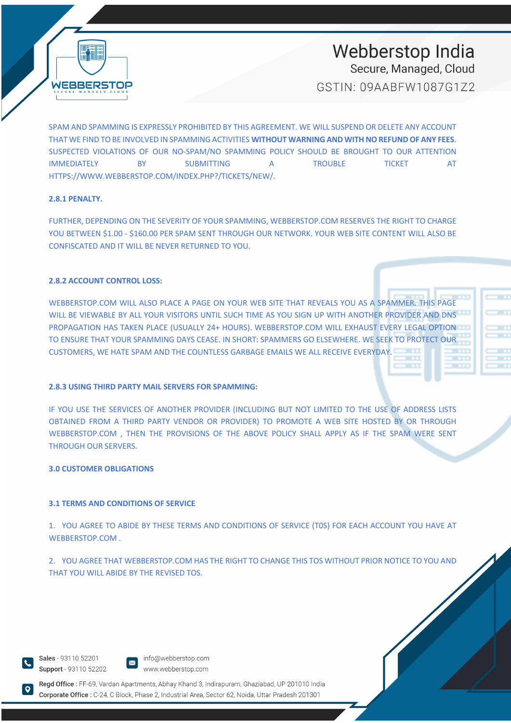

# Webberstop India

Secure, Managed, Cloud

GSTIN: 09AABFW1087G172

SPAM AND SPAMMING IS EXPRESSLY PROHIBITED BY THIS AGREEMENT. WE WILL SUSPEND OR DELETE ANY ACCOUNT THAT WE FIND TO BE INVOLVED IN SPAMMING ACTIVITIES **WITHOUT WARNING AND WITH NO REFUND OF ANY FEES**. SUSPECTED VIOLATIONS OF OUR NO-SPAM/NO SPAMMING POLICY SHOULD BE BROUGHT TO OUR ATTENTION IMMEDIATELY BY SUBMITTING A TROUBLE TICKET AT HTTPS://WWW.WEBBERSTOP.COM/INDEX.PHP?/TICKETS/NEW/.

#### **2.8.1 PENALTY.**

FURTHER, DEPENDING ON THE SEVERITY OF YOUR SPAMMING, WEBBERSTOP.COM RESERVES THE RIGHT TO CHARGE YOU BETWEEN \$1.00 - \$160.00 PER SPAM SENT THROUGH OUR NETWORK. YOUR WEB SITE CONTENT WILL ALSO BE CONFISCATED AND IT WILL BE NEVER RETURNED TO YOU.

#### **2.8.2 ACCOUNT CONTROL LOSS:**

WEBBERSTOP.COM WILL ALSO PLACE A PAGE ON YOUR WEB SITE THAT REVEALS YOU AS A SPAMMER. THIS PAGE WILL BE VIEWABLE BY ALL YOUR VISITORS UNTIL SUCH TIME AS YOU SIGN UP WITH ANOTHER PROVIDER AND DNS PROPAGATION HAS TAKEN PLACE (USUALLY 24+ HOURS). WEBBERSTOP.COM WILL EXHAUST EVERY LEGAL OPTION TO ENSURE THAT YOUR SPAMMING DAYS CEASE. IN SHORT: SPAMMERS GO ELSEWHERE. WE SEEK TO PROTECT OUR CUSTOMERS, WE HATE SPAM AND THE COUNTLESS GARBAGE EMAILS WE ALL RECEIVE EVERYDAY.

#### **2.8.3 USING THIRD PARTY MAIL SERVERS FOR SPAMMING:**

IF YOU USE THE SERVICES OF ANOTHER PROVIDER (INCLUDING BUT NOT LIMITED TO THE USE OF ADDRESS LISTS OBTAINED FROM A THIRD PARTY VENDOR OR PROVIDER) TO PROMOTE A WEB SITE HOSTED BY OR THROUGH WEBBERSTOP.COM , THEN THE PROVISIONS OF THE ABOVE POLICY SHALL APPLY AS IF THE SPAM WERE SENT THROUGH OUR SERVERS.

#### **3.0 CUSTOMER OBLIGATIONS**

#### **3.1 TERMS AND CONDITIONS OF SERVICE**

1. YOU AGREE TO ABIDE BY THESE TERMS AND CONDITIONS OF SERVICE (T0S) FOR EACH ACCOUNT YOU HAVE AT WEBBERSTOP.COM .

2. YOU AGREE THAT WEBBERSTOP.COM HAS THE RIGHT TO CHANGE THIS TOS WITHOUT PRIOR NOTICE TO YOU AND THAT YOU WILL ABIDE BY THE REVISED TOS.

Sales - 93110 52201 Support - 93110 52202

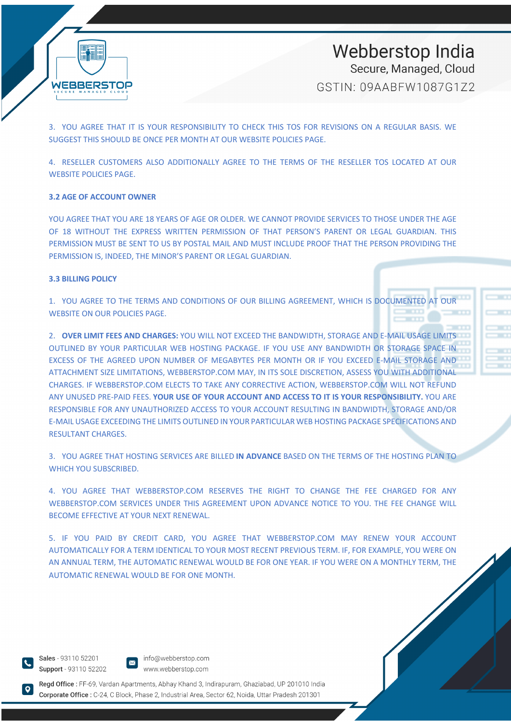

3. YOU AGREE THAT IT IS YOUR RESPONSIBILITY TO CHECK THIS TOS FOR REVISIONS ON A REGULAR BASIS. WE SUGGEST THIS SHOULD BE ONCE PER MONTH AT OUR WEBSITE POLICIES PAGE.

4. RESELLER CUSTOMERS ALSO ADDITIONALLY AGREE TO THE TERMS OF THE RESELLER TOS LOCATED AT OUR WEBSITE POLICIES PAGE.

#### **3.2 AGE OF ACCOUNT OWNER**

YOU AGREE THAT YOU ARE 18 YEARS OF AGE OR OLDER. WE CANNOT PROVIDE SERVICES TO THOSE UNDER THE AGE OF 18 WITHOUT THE EXPRESS WRITTEN PERMISSION OF THAT PERSON'S PARENT OR LEGAL GUARDIAN. THIS PERMISSION MUST BE SENT TO US BY POSTAL MAIL AND MUST INCLUDE PROOF THAT THE PERSON PROVIDING THE PERMISSION IS, INDEED, THE MINOR'S PARENT OR LEGAL GUARDIAN.

#### **3.3 BILLING POLICY**

1. YOU AGREE TO THE TERMS AND CONDITIONS OF OUR BILLING AGREEMENT, WHICH IS DOCUMENTED AT OUR WEBSITE ON OUR POLICIES PAGE.

2. **OVER LIMIT FEES AND CHARGES:** YOU WILL NOT EXCEED THE BANDWIDTH, STORAGE AND E-MAIL USAGE LIMITS OUTLINED BY YOUR PARTICULAR WEB HOSTING PACKAGE. IF YOU USE ANY BANDWIDTH OR STORAGE SPACE IN EXCESS OF THE AGREED UPON NUMBER OF MEGABYTES PER MONTH OR IF YOU EXCEED E-MAIL STORAGE AND ATTACHMENT SIZE LIMITATIONS, WEBBERSTOP.COM MAY, IN ITS SOLE DISCRETION, ASSESS YOU WITH ADDITIONAL CHARGES. IF WEBBERSTOP.COM ELECTS TO TAKE ANY CORRECTIVE ACTION, WEBBERSTOP.COM WILL NOT REFUND ANY UNUSED PRE-PAID FEES. **YOUR USE OF YOUR ACCOUNT AND ACCESS TO IT IS YOUR RESPONSIBILITY.** YOU ARE RESPONSIBLE FOR ANY UNAUTHORIZED ACCESS TO YOUR ACCOUNT RESULTING IN BANDWIDTH, STORAGE AND/OR E-MAIL USAGE EXCEEDING THE LIMITS OUTLINED IN YOUR PARTICULAR WEB HOSTING PACKAGE SPECIFICATIONS AND RESULTANT CHARGES.

3. YOU AGREE THAT HOSTING SERVICES ARE BILLED **IN ADVANCE** BASED ON THE TERMS OF THE HOSTING PLAN TO WHICH YOU SUBSCRIBED.

4. YOU AGREE THAT WEBBERSTOP.COM RESERVES THE RIGHT TO CHANGE THE FEE CHARGED FOR ANY WEBBERSTOP.COM SERVICES UNDER THIS AGREEMENT UPON ADVANCE NOTICE TO YOU. THE FEE CHANGE WILL BECOME EFFECTIVE AT YOUR NEXT RENEWAL.

5. IF YOU PAID BY CREDIT CARD, YOU AGREE THAT WEBBERSTOP.COM MAY RENEW YOUR ACCOUNT AUTOMATICALLY FOR A TERM IDENTICAL TO YOUR MOST RECENT PREVIOUS TERM. IF, FOR EXAMPLE, YOU WERE ON AN ANNUAL TERM, THE AUTOMATIC RENEWAL WOULD BE FOR ONE YEAR. IF YOU WERE ON A MONTHLY TERM, THE AUTOMATIC RENEWAL WOULD BE FOR ONE MONTH.

Sales - 93110 52201 Support - 93110 52202

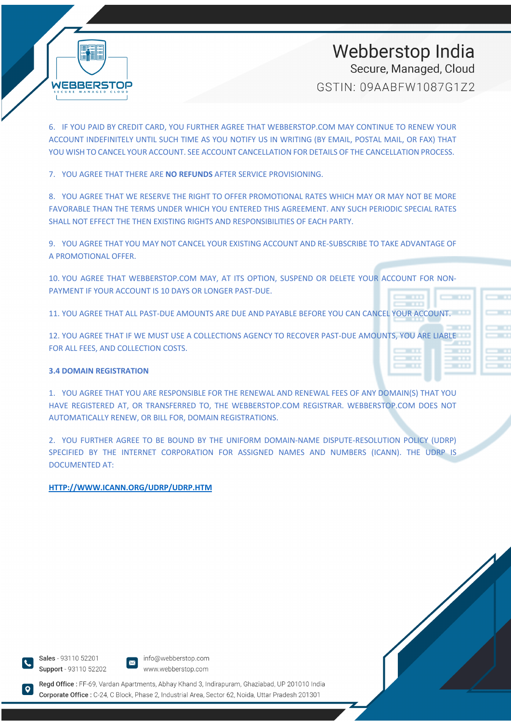

6. IF YOU PAID BY CREDIT CARD, YOU FURTHER AGREE THAT WEBBERSTOP.COM MAY CONTINUE TO RENEW YOUR ACCOUNT INDEFINITELY UNTIL SUCH TIME AS YOU NOTIFY US IN WRITING (BY EMAIL, POSTAL MAIL, OR FAX) THAT YOU WISH TO CANCEL YOUR ACCOUNT. SEE ACCOUNT CANCELLATION FOR DETAILS OF THE CANCELLATION PROCESS.

7. YOU AGREE THAT THERE ARE **NO REFUNDS** AFTER SERVICE PROVISIONING.

8. YOU AGREE THAT WE RESERVE THE RIGHT TO OFFER PROMOTIONAL RATES WHICH MAY OR MAY NOT BE MORE FAVORABLE THAN THE TERMS UNDER WHICH YOU ENTERED THIS AGREEMENT. ANY SUCH PERIODIC SPECIAL RATES SHALL NOT EFFECT THE THEN EXISTING RIGHTS AND RESPONSIBILITIES OF EACH PARTY.

9. YOU AGREE THAT YOU MAY NOT CANCEL YOUR EXISTING ACCOUNT AND RE-SUBSCRIBE TO TAKE ADVANTAGE OF A PROMOTIONAL OFFER.

10. YOU AGREE THAT WEBBERSTOP.COM MAY, AT ITS OPTION, SUSPEND OR DELETE YOUR ACCOUNT FOR NON-PAYMENT IF YOUR ACCOUNT IS 10 DAYS OR LONGER PAST-DUE.

11. YOU AGREE THAT ALL PAST-DUE AMOUNTS ARE DUE AND PAYABLE BEFORE YOU CAN CANCEL YOUR ACCOUNT.

12. YOU AGREE THAT IF WE MUST USE A COLLECTIONS AGENCY TO RECOVER PAST-DUE AMOUNTS, YOU ARE LIABLE FOR ALL FEES, AND COLLECTION COSTS.

#### **3.4 DOMAIN REGISTRATION**

1. YOU AGREE THAT YOU ARE RESPONSIBLE FOR THE RENEWAL AND RENEWAL FEES OF ANY DOMAIN(S) THAT YOU HAVE REGISTERED AT, OR TRANSFERRED TO, THE WEBBERSTOP.COM REGISTRAR. WEBBERSTOP.COM DOES NOT AUTOMATICALLY RENEW, OR BILL FOR, DOMAIN REGISTRATIONS.

2. YOU FURTHER AGREE TO BE BOUND BY THE UNIFORM DOMAIN-NAME DISPUTE-RESOLUTION POLICY (UDRP) SPECIFIED BY THE INTERNET CORPORATION FOR ASSIGNED NAMES AND NUMBERS (ICANN). THE UDRP IS DOCUMENTED AT:

#### **HTTP://WWW.ICANN.ORG/UDRP/UDRP.HTM**

Sales - 93110 52201 Support - 93110 52202

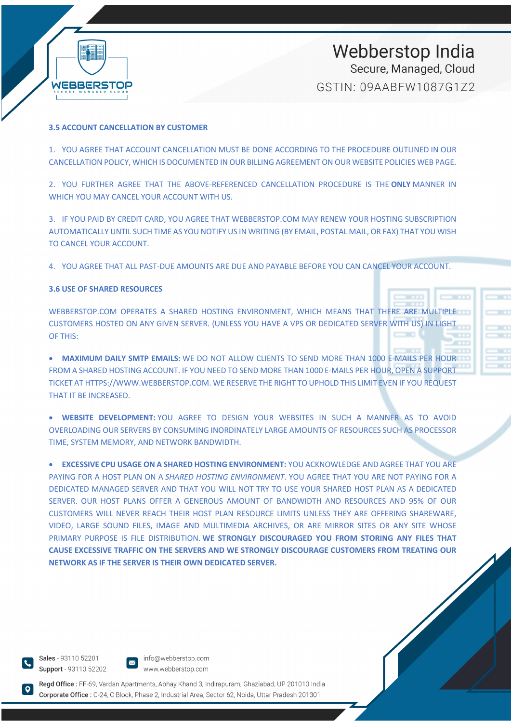

#### **3.5 ACCOUNT CANCELLATION BY CUSTOMER**

1. YOU AGREE THAT ACCOUNT CANCELLATION MUST BE DONE ACCORDING TO THE PROCEDURE OUTLINED IN OUR CANCELLATION POLICY, WHICH IS DOCUMENTED IN OUR BILLING AGREEMENT ON OUR WEBSITE POLICIES WEB PAGE.

2. YOU FURTHER AGREE THAT THE ABOVE-REFERENCED CANCELLATION PROCEDURE IS THE **ONLY** MANNER IN WHICH YOU MAY CANCEL YOUR ACCOUNT WITH US.

3. IF YOU PAID BY CREDIT CARD, YOU AGREE THAT WEBBERSTOP.COM MAY RENEW YOUR HOSTING SUBSCRIPTION AUTOMATICALLY UNTIL SUCH TIME AS YOU NOTIFY US IN WRITING (BY EMAIL, POSTAL MAIL, OR FAX) THAT YOU WISH TO CANCEL YOUR ACCOUNT.

4. YOU AGREE THAT ALL PAST-DUE AMOUNTS ARE DUE AND PAYABLE BEFORE YOU CAN CANCEL YOUR ACCOUNT.

#### **3.6 USE OF SHARED RESOURCES**

WEBBERSTOP.COM OPERATES A SHARED HOSTING ENVIRONMENT, WHICH MEANS THAT THERE ARE MULTIPLE CUSTOMERS HOSTED ON ANY GIVEN SERVER. (UNLESS YOU HAVE A VPS OR DEDICATED SERVER WITH US) IN LIGHT OF THIS:

• **MAXIMUM DAILY SMTP EMAILS:** WE DO NOT ALLOW CLIENTS TO SEND MORE THAN 1000 E-MAILS PER HOUR FROM A SHARED HOSTING ACCOUNT. IF YOU NEED TO SEND MORE THAN 1000 E-MAILS PER HOUR, OPEN A SUPPORT TICKET AT HTTPS://WWW.WEBBERSTOP.COM. WE RESERVE THE RIGHT TO UPHOLD THIS LIMIT EVEN IF YOU REQUEST THAT IT BE INCREASED.

• **WEBSITE DEVELOPMENT:** YOU AGREE TO DESIGN YOUR WEBSITES IN SUCH A MANNER AS TO AVOID OVERLOADING OUR SERVERS BY CONSUMING INORDINATELY LARGE AMOUNTS OF RESOURCES SUCH AS PROCESSOR TIME, SYSTEM MEMORY, AND NETWORK BANDWIDTH.

• **EXCESSIVE CPU USAGE ON A SHARED HOSTING ENVIRONMENT:** YOU ACKNOWLEDGE AND AGREE THAT YOU ARE PAYING FOR A HOST PLAN ON A *SHARED HOSTING ENVIRONMENT*. YOU AGREE THAT YOU ARE NOT PAYING FOR A DEDICATED MANAGED SERVER AND THAT YOU WILL NOT TRY TO USE YOUR SHARED HOST PLAN AS A DEDICATED SERVER. OUR HOST PLANS OFFER A GENEROUS AMOUNT OF BANDWIDTH AND RESOURCES AND 95% OF OUR CUSTOMERS WILL NEVER REACH THEIR HOST PLAN RESOURCE LIMITS UNLESS THEY ARE OFFERING SHAREWARE, VIDEO, LARGE SOUND FILES, IMAGE AND MULTIMEDIA ARCHIVES, OR ARE MIRROR SITES OR ANY SITE WHOSE PRIMARY PURPOSE IS FILE DISTRIBUTION. **WE STRONGLY DISCOURAGED YOU FROM STORING ANY FILES THAT CAUSE EXCESSIVE TRAFFIC ON THE SERVERS AND WE STRONGLY DISCOURAGE CUSTOMERS FROM TREATING OUR NETWORK AS IF THE SERVER IS THEIR OWN DEDICATED SERVER.**

Sales - 93110 52201 Support - 93110 52202

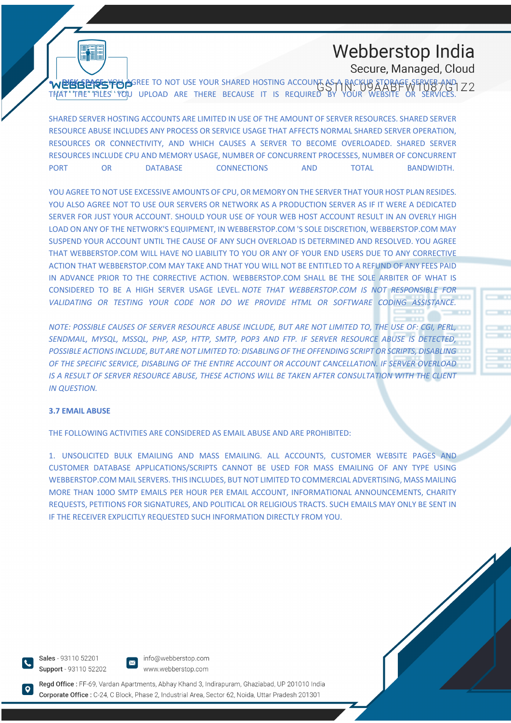# Webberstop India Secure, Managed, Cloud

**• DIENS ENSE YOU AGREE TO NOT USE YOUR SHARED HOSTING ACCOUNT AS A BACKUR STORAGE SERVER AND** THAT THE FILES YOU UPLOAD ARE THERE BECAUSE IT IS REQUIRED BY YOUR WEBSITE OR SERVICES.

SHARED SERVER HOSTING ACCOUNTS ARE LIMITED IN USE OF THE AMOUNT OF SERVER RESOURCES. SHARED SERVER RESOURCE ABUSE INCLUDES ANY PROCESS OR SERVICE USAGE THAT AFFECTS NORMAL SHARED SERVER OPERATION, RESOURCES OR CONNECTIVITY, AND WHICH CAUSES A SERVER TO BECOME OVERLOADED. SHARED SERVER RESOURCES INCLUDE CPU AND MEMORY USAGE, NUMBER OF CONCURRENT PROCESSES, NUMBER OF CONCURRENT PORT OR DATABASE CONNECTIONS AND TOTAL BANDWIDTH.

YOU AGREE TO NOT USE EXCESSIVE AMOUNTS OF CPU, OR MEMORY ON THE SERVER THAT YOUR HOST PLAN RESIDES. YOU ALSO AGREE NOT TO USE OUR SERVERS OR NETWORK AS A PRODUCTION SERVER AS IF IT WERE A DEDICATED SERVER FOR JUST YOUR ACCOUNT. SHOULD YOUR USE OF YOUR WEB HOST ACCOUNT RESULT IN AN OVERLY HIGH LOAD ON ANY OF THE NETWORK'S EQUIPMENT, IN WEBBERSTOP.COM 'S SOLE DISCRETION, WEBBERSTOP.COM MAY SUSPEND YOUR ACCOUNT UNTIL THE CAUSE OF ANY SUCH OVERLOAD IS DETERMINED AND RESOLVED. YOU AGREE THAT WEBBERSTOP.COM WILL HAVE NO LIABILITY TO YOU OR ANY OF YOUR END USERS DUE TO ANY CORRECTIVE ACTION THAT WEBBERSTOP.COM MAY TAKE AND THAT YOU WILL NOT BE ENTITLED TO A REFUND OF ANY FEES PAID IN ADVANCE PRIOR TO THE CORRECTIVE ACTION. WEBBERSTOP.COM SHALL BE THE SOLE ARBITER OF WHAT IS CONSIDERED TO BE A HIGH SERVER USAGE LEVEL. *NOTE THAT WEBBERSTOP.COM IS NOT RESPONSIBLE FOR VALIDATING OR TESTING YOUR CODE NOR DO WE PROVIDE HTML OR SOFTWARE CODING ASSISTANCE.*

*NOTE: POSSIBLE CAUSES OF SERVER RESOURCE ABUSE INCLUDE, BUT ARE NOT LIMITED TO, THE USE OF: CGI, PERL, SENDMAIL, MYSQL, MSSQL, PHP, ASP, HTTP, SMTP, POP3 AND FTP. IF SERVER RESOURCE ABUSE IS DETECTED, POSSIBLE ACTIONS INCLUDE, BUT ARE NOT LIMITED TO: DISABLING OF THE OFFENDING SCRIPT OR SCRIPTS, DISABLING OF THE SPECIFIC SERVICE, DISABLING OF THE ENTIRE ACCOUNT OR ACCOUNT CANCELLATION. IF SERVER OVERLOAD IS A RESULT OF SERVER RESOURCE ABUSE, THESE ACTIONS WILL BE TAKEN AFTER CONSULTATION WITH THE CLIENT IN QUESTION.*

#### **3.7 EMAIL ABUSE**

THE FOLLOWING ACTIVITIES ARE CONSIDERED AS EMAIL ABUSE AND ARE PROHIBITED:

1. UNSOLICITED BULK EMAILING AND MASS EMAILING. ALL ACCOUNTS, CUSTOMER WEBSITE PAGES AND CUSTOMER DATABASE APPLICATIONS/SCRIPTS CANNOT BE USED FOR MASS EMAILING OF ANY TYPE USING WEBBERSTOP.COM MAIL SERVERS. THIS INCLUDES, BUT NOT LIMITED TO COMMERCIAL ADVERTISING, MASS MAILING MORE THAN 100O SMTP EMAILS PER HOUR PER EMAIL ACCOUNT, INFORMATIONAL ANNOUNCEMENTS, CHARITY REQUESTS, PETITIONS FOR SIGNATURES, AND POLITICAL OR RELIGIOUS TRACTS. SUCH EMAILS MAY ONLY BE SENT IN IF THE RECEIVER EXPLICITLY REQUESTED SUCH INFORMATION DIRECTLY FROM YOU.

Sales - 93110 52201 Support - 93110 52202

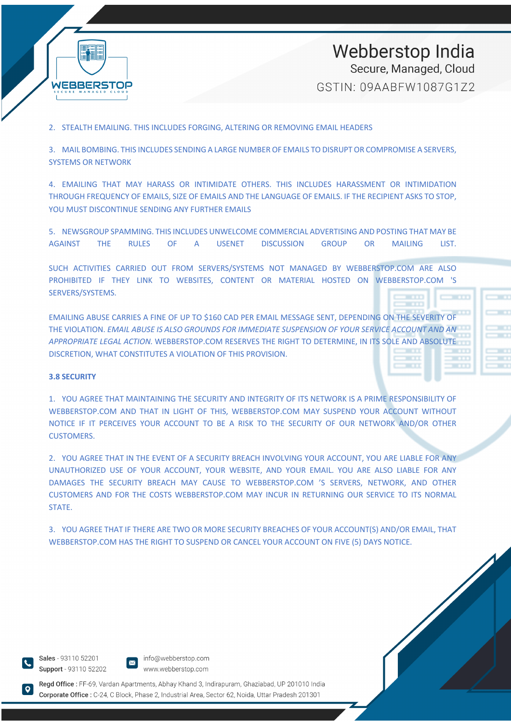

2. STEALTH EMAILING. THIS INCLUDES FORGING, ALTERING OR REMOVING EMAIL HEADERS

3. MAIL BOMBING. THIS INCLUDES SENDING A LARGE NUMBER OF EMAILS TO DISRUPT OR COMPROMISE A SERVERS, SYSTEMS OR NETWORK

4. EMAILING THAT MAY HARASS OR INTIMIDATE OTHERS. THIS INCLUDES HARASSMENT OR INTIMIDATION THROUGH FREQUENCY OF EMAILS, SIZE OF EMAILS AND THE LANGUAGE OF EMAILS. IF THE RECIPIENT ASKS TO STOP, YOU MUST DISCONTINUE SENDING ANY FURTHER EMAILS

5. NEWSGROUP SPAMMING. THIS INCLUDES UNWELCOME COMMERCIAL ADVERTISING AND POSTING THAT MAY BE AGAINST THE RULES OF A USENET DISCUSSION GROUP OR MAILING LIST.

SUCH ACTIVITIES CARRIED OUT FROM SERVERS/SYSTEMS NOT MANAGED BY WEBBERSTOP.COM ARE ALSO PROHIBITED IF THEY LINK TO WEBSITES, CONTENT OR MATERIAL HOSTED ON WEBBERSTOP.COM 'S SERVERS/SYSTEMS.

EMAILING ABUSE CARRIES A FINE OF UP TO \$160 CAD PER EMAIL MESSAGE SENT, DEPENDING ON THE SEVERITY OF THE VIOLATION. *EMAIL ABUSE IS ALSO GROUNDS FOR IMMEDIATE SUSPENSION OF YOUR SERVICE ACCOUNT AND AN APPROPRIATE LEGAL ACTION.* WEBBERSTOP.COM RESERVES THE RIGHT TO DETERMINE, IN ITS SOLE AND ABSOLUTE DISCRETION, WHAT CONSTITUTES A VIOLATION OF THIS PROVISION.

#### **3.8 SECURITY**

1. YOU AGREE THAT MAINTAINING THE SECURITY AND INTEGRITY OF ITS NETWORK IS A PRIME RESPONSIBILITY OF WEBBERSTOP.COM AND THAT IN LIGHT OF THIS, WEBBERSTOP.COM MAY SUSPEND YOUR ACCOUNT WITHOUT NOTICE IF IT PERCEIVES YOUR ACCOUNT TO BE A RISK TO THE SECURITY OF OUR NETWORK AND/OR OTHER CUSTOMERS.

2. YOU AGREE THAT IN THE EVENT OF A SECURITY BREACH INVOLVING YOUR ACCOUNT, YOU ARE LIABLE FOR ANY UNAUTHORIZED USE OF YOUR ACCOUNT, YOUR WEBSITE, AND YOUR EMAIL. YOU ARE ALSO LIABLE FOR ANY DAMAGES THE SECURITY BREACH MAY CAUSE TO WEBBERSTOP.COM 'S SERVERS, NETWORK, AND OTHER CUSTOMERS AND FOR THE COSTS WEBBERSTOP.COM MAY INCUR IN RETURNING OUR SERVICE TO ITS NORMAL STATE.

3. YOU AGREE THAT IF THERE ARE TWO OR MORE SECURITY BREACHES OF YOUR ACCOUNT(S) AND/OR EMAIL, THAT WEBBERSTOP.COM HAS THE RIGHT TO SUSPEND OR CANCEL YOUR ACCOUNT ON FIVE (5) DAYS NOTICE.

Sales - 93110 52201 Support - 93110 52202

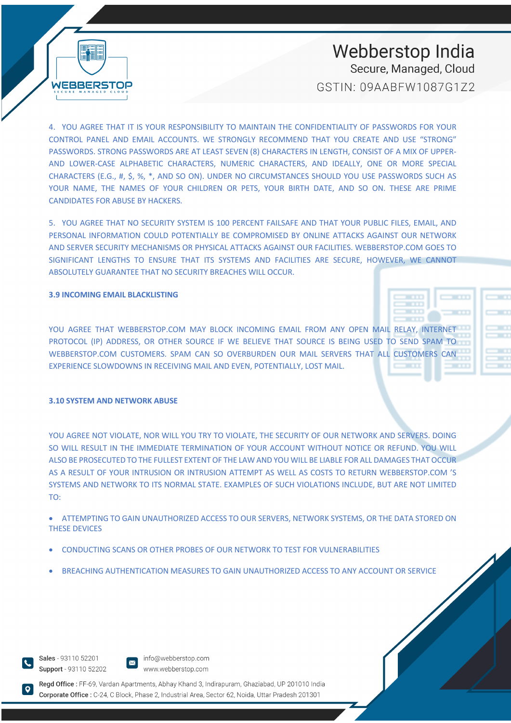Webberstop India Secure, Managed, Cloud

GSTIN: 09AABFW1087G172

4. YOU AGREE THAT IT IS YOUR RESPONSIBILITY TO MAINTAIN THE CONFIDENTIALITY OF PASSWORDS FOR YOUR CONTROL PANEL AND EMAIL ACCOUNTS. WE STRONGLY RECOMMEND THAT YOU CREATE AND USE "STRONG" PASSWORDS. STRONG PASSWORDS ARE AT LEAST SEVEN (8) CHARACTERS IN LENGTH, CONSIST OF A MIX OF UPPER-AND LOWER-CASE ALPHABETIC CHARACTERS, NUMERIC CHARACTERS, AND IDEALLY, ONE OR MORE SPECIAL CHARACTERS (E.G., #, \$, %, \*, AND SO ON). UNDER NO CIRCUMSTANCES SHOULD YOU USE PASSWORDS SUCH AS YOUR NAME, THE NAMES OF YOUR CHILDREN OR PETS, YOUR BIRTH DATE, AND SO ON. THESE ARE PRIME CANDIDATES FOR ABUSE BY HACKERS.

5. YOU AGREE THAT NO SECURITY SYSTEM IS 100 PERCENT FAILSAFE AND THAT YOUR PUBLIC FILES, EMAIL, AND PERSONAL INFORMATION COULD POTENTIALLY BE COMPROMISED BY ONLINE ATTACKS AGAINST OUR NETWORK AND SERVER SECURITY MECHANISMS OR PHYSICAL ATTACKS AGAINST OUR FACILITIES. WEBBERSTOP.COM GOES TO SIGNIFICANT LENGTHS TO ENSURE THAT ITS SYSTEMS AND FACILITIES ARE SECURE, HOWEVER, WE CANNOT ABSOLUTELY GUARANTEE THAT NO SECURITY BREACHES WILL OCCUR.

#### **3.9 INCOMING EMAIL BLACKLISTING**

**WEBBERSTOP** 

YOU AGREE THAT WEBBERSTOP.COM MAY BLOCK INCOMING EMAIL FROM ANY OPEN MAIL RELAY, INTERNET PROTOCOL (IP) ADDRESS, OR OTHER SOURCE IF WE BELIEVE THAT SOURCE IS BEING USED TO SEND SPAM TO WEBBERSTOP.COM CUSTOMERS. SPAM CAN SO OVERBURDEN OUR MAIL SERVERS THAT ALL CUSTOMERS CAN EXPERIENCE SLOWDOWNS IN RECEIVING MAIL AND EVEN, POTENTIALLY, LOST MAIL.

#### **3.10 SYSTEM AND NETWORK ABUSE**

YOU AGREE NOT VIOLATE, NOR WILL YOU TRY TO VIOLATE, THE SECURITY OF OUR NETWORK AND SERVERS. DOING SO WILL RESULT IN THE IMMEDIATE TERMINATION OF YOUR ACCOUNT WITHOUT NOTICE OR REFUND. YOU WILL ALSO BE PROSECUTED TO THE FULLEST EXTENT OF THE LAW AND YOU WILL BE LIABLE FOR ALL DAMAGES THAT OCCUR AS A RESULT OF YOUR INTRUSION OR INTRUSION ATTEMPT AS WELL AS COSTS TO RETURN WEBBERSTOP.COM 'S SYSTEMS AND NETWORK TO ITS NORMAL STATE. EXAMPLES OF SUCH VIOLATIONS INCLUDE, BUT ARE NOT LIMITED TO:

• ATTEMPTING TO GAIN UNAUTHORIZED ACCESS TO OUR SERVERS, NETWORK SYSTEMS, OR THE DATA STORED ON THESE DEVICES

- CONDUCTING SCANS OR OTHER PROBES OF OUR NETWORK TO TEST FOR VULNERABILITIES
- BREACHING AUTHENTICATION MEASURES TO GAIN UNAUTHORIZED ACCESS TO ANY ACCOUNT OR SERVICE

Sales - 93110 52201 Support - 93110 52202

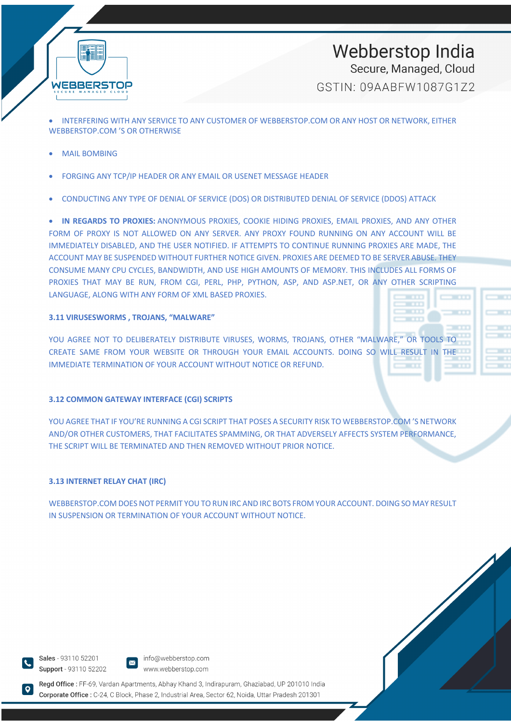

• INTERFERING WITH ANY SERVICE TO ANY CUSTOMER OF WEBBERSTOP.COM OR ANY HOST OR NETWORK, EITHER WEBBERSTOP COM 'S OR OTHERWISE

- **MAIL BOMBING**
- FORGING ANY TCP/IP HEADER OR ANY EMAIL OR USENET MESSAGE HEADER
- CONDUCTING ANY TYPE OF DENIAL OF SERVICE (DOS) OR DISTRIBUTED DENIAL OF SERVICE (DDOS) ATTACK

• **IN REGARDS TO PROXIES:** ANONYMOUS PROXIES, COOKIE HIDING PROXIES, EMAIL PROXIES, AND ANY OTHER FORM OF PROXY IS NOT ALLOWED ON ANY SERVER. ANY PROXY FOUND RUNNING ON ANY ACCOUNT WILL BE IMMEDIATELY DISABLED, AND THE USER NOTIFIED. IF ATTEMPTS TO CONTINUE RUNNING PROXIES ARE MADE, THE ACCOUNT MAY BE SUSPENDED WITHOUT FURTHER NOTICE GIVEN. PROXIES ARE DEEMED TO BE SERVER ABUSE. THEY CONSUME MANY CPU CYCLES, BANDWIDTH, AND USE HIGH AMOUNTS OF MEMORY. THIS INCLUDES ALL FORMS OF PROXIES THAT MAY BE RUN, FROM CGI, PERL, PHP, PYTHON, ASP, AND ASP.NET, OR ANY OTHER SCRIPTING LANGUAGE, ALONG WITH ANY FORM OF XML BASED PROXIES.

#### **3.11 VIRUSESWORMS , TROJANS, "MALWARE"**

YOU AGREE NOT TO DELIBERATELY DISTRIBUTE VIRUSES, WORMS, TROJANS, OTHER "MALWARE," OR TOOLS TO CREATE SAME FROM YOUR WEBSITE OR THROUGH YOUR EMAIL ACCOUNTS. DOING SO WILL RESULT IN THE IMMEDIATE TERMINATION OF YOUR ACCOUNT WITHOUT NOTICE OR REFUND.

#### **3.12 COMMON GATEWAY INTERFACE (CGI) SCRIPTS**

YOU AGREE THAT IF YOU'RE RUNNING A CGI SCRIPT THAT POSES A SECURITY RISK TO WEBBERSTOP.COM 'S NETWORK AND/OR OTHER CUSTOMERS, THAT FACILITATES SPAMMING, OR THAT ADVERSELY AFFECTS SYSTEM PERFORMANCE, THE SCRIPT WILL BE TERMINATED AND THEN REMOVED WITHOUT PRIOR NOTICE.

#### **3.13 INTERNET RELAY CHAT (IRC)**

WEBBERSTOP.COM DOES NOT PERMIT YOU TO RUN IRC AND IRC BOTS FROM YOUR ACCOUNT. DOING SO MAY RESULT IN SUSPENSION OR TERMINATION OF YOUR ACCOUNT WITHOUT NOTICE.

Sales - 93110 52201 Support - 93110 52202



info@webberstop.com www.webberstop.com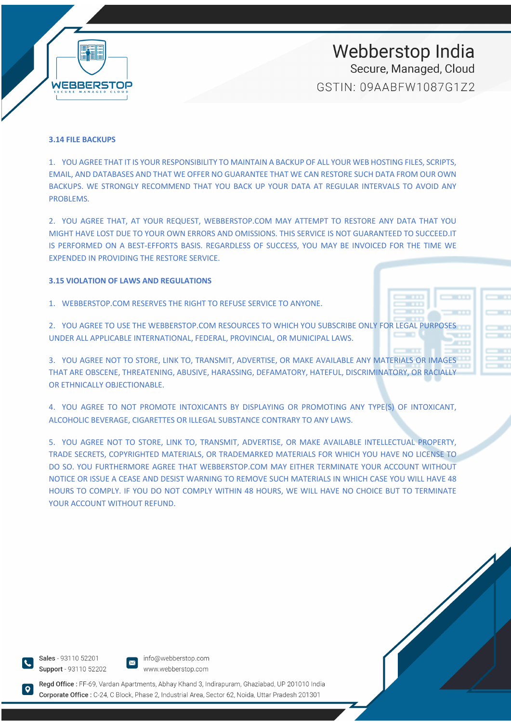

#### **3.14 FILE BACKUPS**

1. YOU AGREE THAT IT IS YOUR RESPONSIBILITY TO MAINTAIN A BACKUP OF ALL YOUR WEB HOSTING FILES, SCRIPTS, EMAIL, AND DATABASES AND THAT WE OFFER NO GUARANTEE THAT WE CAN RESTORE SUCH DATA FROM OUR OWN BACKUPS. WE STRONGLY RECOMMEND THAT YOU BACK UP YOUR DATA AT REGULAR INTERVALS TO AVOID ANY PROBLEMS.

2. YOU AGREE THAT, AT YOUR REQUEST, WEBBERSTOP.COM MAY ATTEMPT TO RESTORE ANY DATA THAT YOU MIGHT HAVE LOST DUE TO YOUR OWN ERRORS AND OMISSIONS. THIS SERVICE IS NOT GUARANTEED TO SUCCEED.IT IS PERFORMED ON A BEST-EFFORTS BASIS. REGARDLESS OF SUCCESS, YOU MAY BE INVOICED FOR THE TIME WE EXPENDED IN PROVIDING THE RESTORE SERVICE.

#### **3.15 VIOLATION OF LAWS AND REGULATIONS**

1. WEBBERSTOP.COM RESERVES THE RIGHT TO REFUSE SERVICE TO ANYONE.

2. YOU AGREE TO USE THE WEBBERSTOP.COM RESOURCES TO WHICH YOU SUBSCRIBE ONLY FOR LEGAL PURPOSES UNDER ALL APPLICABLE INTERNATIONAL, FEDERAL, PROVINCIAL, OR MUNICIPAL LAWS.

3. YOU AGREE NOT TO STORE, LINK TO, TRANSMIT, ADVERTISE, OR MAKE AVAILABLE ANY MATERIALS OR IMAGES THAT ARE OBSCENE, THREATENING, ABUSIVE, HARASSING, DEFAMATORY, HATEFUL, DISCRIMINATORY, OR RACIALLY OR ETHNICALLY OBJECTIONABLE.

4. YOU AGREE TO NOT PROMOTE INTOXICANTS BY DISPLAYING OR PROMOTING ANY TYPE(S) OF INTOXICANT, ALCOHOLIC BEVERAGE, CIGARETTES OR ILLEGAL SUBSTANCE CONTRARY TO ANY LAWS.

5. YOU AGREE NOT TO STORE, LINK TO, TRANSMIT, ADVERTISE, OR MAKE AVAILABLE INTELLECTUAL PROPERTY, TRADE SECRETS, COPYRIGHTED MATERIALS, OR TRADEMARKED MATERIALS FOR WHICH YOU HAVE NO LICENSE TO DO SO. YOU FURTHERMORE AGREE THAT WEBBERSTOP.COM MAY EITHER TERMINATE YOUR ACCOUNT WITHOUT NOTICE OR ISSUE A CEASE AND DESIST WARNING TO REMOVE SUCH MATERIALS IN WHICH CASE YOU WILL HAVE 48 HOURS TO COMPLY. IF YOU DO NOT COMPLY WITHIN 48 HOURS, WE WILL HAVE NO CHOICE BUT TO TERMINATE YOUR ACCOUNT WITHOUT REFUND.

Sales - 93110 52201 Support - 93110 52202

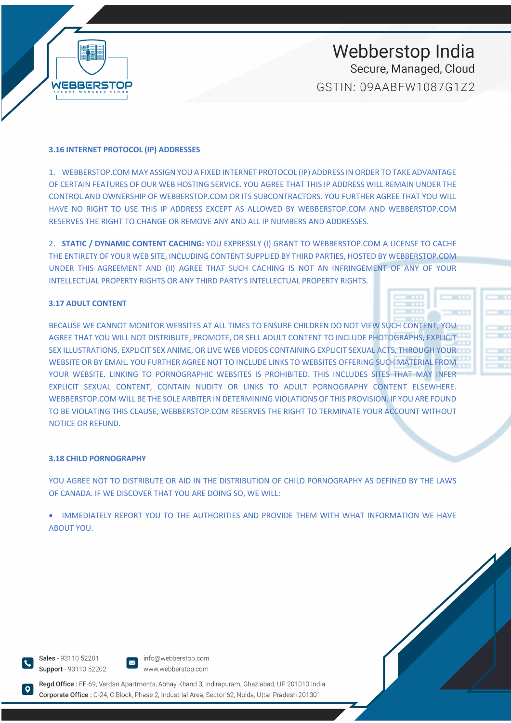

#### **3.16 INTERNET PROTOCOL (IP) ADDRESSES**

1. WEBBERSTOP.COM MAY ASSIGN YOU A FIXED INTERNET PROTOCOL (IP) ADDRESS IN ORDER TO TAKE ADVANTAGE OF CERTAIN FEATURES OF OUR WEB HOSTING SERVICE. YOU AGREE THAT THIS IP ADDRESS WILL REMAIN UNDER THE CONTROL AND OWNERSHIP OF WEBBERSTOP.COM OR ITS SUBCONTRACTORS. YOU FURTHER AGREE THAT YOU WILL HAVE NO RIGHT TO USE THIS IP ADDRESS EXCEPT AS ALLOWED BY WEBBERSTOP.COM AND WEBBERSTOP.COM RESERVES THE RIGHT TO CHANGE OR REMOVE ANY AND ALL IP NUMBERS AND ADDRESSES.

2. **STATIC / DYNAMIC CONTENT CACHING:** YOU EXPRESSLY (I) GRANT TO WEBBERSTOP.COM A LICENSE TO CACHE THE ENTIRETY OF YOUR WEB SITE, INCLUDING CONTENT SUPPLIED BY THIRD PARTIES, HOSTED BY WEBBERSTOP.COM UNDER THIS AGREEMENT AND (II) AGREE THAT SUCH CACHING IS NOT AN INFRINGEMENT OF ANY OF YOUR INTELLECTUAL PROPERTY RIGHTS OR ANY THIRD PARTY'S INTELLECTUAL PROPERTY RIGHTS.

#### **3.17 ADULT CONTENT**

BECAUSE WE CANNOT MONITOR WEBSITES AT ALL TIMES TO ENSURE CHILDREN DO NOT VIEW SUCH CONTENT, YOU AGREE THAT YOU WILL NOT DISTRIBUTE, PROMOTE, OR SELL ADULT CONTENT TO INCLUDE PHOTOGRAPHS, EXPLICIT SEX ILLUSTRATIONS, EXPLICIT SEX ANIME, OR LIVE WEB VIDEOS CONTAINING EXPLICIT SEXUAL ACTS, THROUGH YOUR WEBSITE OR BY EMAIL. YOU FURTHER AGREE NOT TO INCLUDE LINKS TO WEBSITES OFFERING SUCH MATERIAL FROM YOUR WEBSITE. LINKING TO PORNOGRAPHIC WEBSITES IS PROHIBITED. THIS INCLUDES SITES THAT MAY INFER EXPLICIT SEXUAL CONTENT, CONTAIN NUDITY OR LINKS TO ADULT PORNOGRAPHY CONTENT ELSEWHERE. WEBBERSTOP.COM WILL BE THE SOLE ARBITER IN DETERMINING VIOLATIONS OF THIS PROVISION. IF YOU ARE FOUND TO BE VIOLATING THIS CLAUSE, WEBBERSTOP.COM RESERVES THE RIGHT TO TERMINATE YOUR ACCOUNT WITHOUT NOTICE OR REFUND.

#### **3.18 CHILD PORNOGRAPHY**

YOU AGREE NOT TO DISTRIBUTE OR AID IN THE DISTRIBUTION OF CHILD PORNOGRAPHY AS DEFINED BY THE LAWS OF CANADA. IF WE DISCOVER THAT YOU ARE DOING SO, WE WILL:

• IMMEDIATELY REPORT YOU TO THE AUTHORITIES AND PROVIDE THEM WITH WHAT INFORMATION WE HAVE ABOUT YOU.

Sales - 93110 52201 Support - 93110 52202

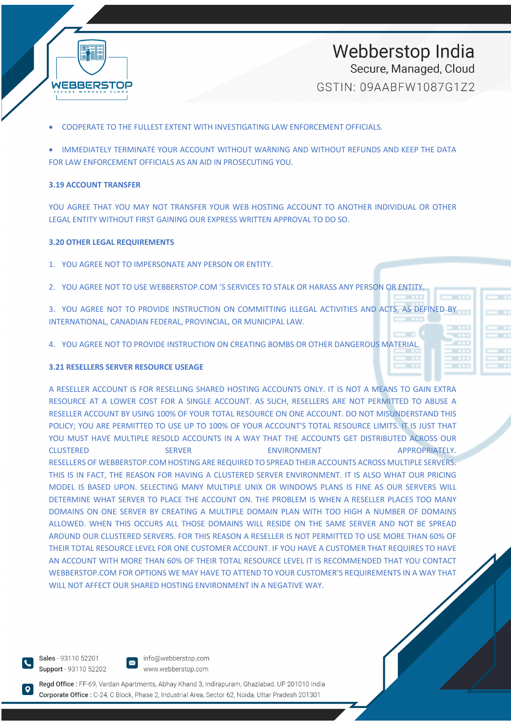

• COOPERATE TO THE FULLEST EXTENT WITH INVESTIGATING LAW ENFORCEMENT OFFICIALS.

• IMMEDIATELY TERMINATE YOUR ACCOUNT WITHOUT WARNING AND WITHOUT REFUNDS AND KEEP THE DATA FOR LAW ENFORCEMENT OFFICIALS AS AN AID IN PROSECUTING YOU.

#### **3.19 ACCOUNT TRANSFER**

YOU AGREE THAT YOU MAY NOT TRANSFER YOUR WEB HOSTING ACCOUNT TO ANOTHER INDIVIDUAL OR OTHER LEGAL ENTITY WITHOUT FIRST GAINING OUR EXPRESS WRITTEN APPROVAL TO DO SO.

#### **3.20 OTHER LEGAL REQUIREMENTS**

- 1. YOU AGREE NOT TO IMPERSONATE ANY PERSON OR ENTITY.
- 2. YOU AGREE NOT TO USE WEBBERSTOP.COM 'S SERVICES TO STALK OR HARASS ANY PERSON OR ENTITY.
- 3. YOU AGREE NOT TO PROVIDE INSTRUCTION ON COMMITTING ILLEGAL ACTIVITIES AND ACTS, AS DEFINED BY INTERNATIONAL, CANADIAN FEDERAL, PROVINCIAL, OR MUNICIPAL LAW.
- 4. YOU AGREE NOT TO PROVIDE INSTRUCTION ON CREATING BOMBS OR OTHER DANGEROUS MATERIAL.

#### **3.21 RESELLERS SERVER RESOURCE USEAGE**

A RESELLER ACCOUNT IS FOR RESELLING SHARED HOSTING ACCOUNTS ONLY. IT IS NOT A MEANS TO GAIN EXTRA RESOURCE AT A LOWER COST FOR A SINGLE ACCOUNT. AS SUCH, RESELLERS ARE NOT PERMITTED TO ABUSE A RESELLER ACCOUNT BY USING 100% OF YOUR TOTAL RESOURCE ON ONE ACCOUNT. DO NOT MISUNDERSTAND THIS POLICY; YOU ARE PERMITTED TO USE UP TO 100% OF YOUR ACCOUNT'S TOTAL RESOURCE LIMITS. IT IS JUST THAT YOU MUST HAVE MULTIPLE RESOLD ACCOUNTS IN A WAY THAT THE ACCOUNTS GET DISTRIBUTED ACROSS OUR CLUSTERED SERVER ENVIRONMENT APPROPRIATELY. RESELLERS OF WEBBERSTOP.COM HOSTING ARE REQUIRED TO SPREAD THEIR ACCOUNTS ACROSS MULTIPLE SERVERS. THIS IS IN FACT, THE REASON FOR HAVING A CLUSTERED SERVER ENVIRONMENT. IT IS ALSO WHAT OUR PRICING MODEL IS BASED UPON. SELECTING MANY MULTIPLE UNIX OR WINDOWS PLANS IS FINE AS OUR SERVERS WILL DETERMINE WHAT SERVER TO PLACE THE ACCOUNT ON. THE PROBLEM IS WHEN A RESELLER PLACES TOO MANY DOMAINS ON ONE SERVER BY CREATING A MULTIPLE DOMAIN PLAN WITH TOO HIGH A NUMBER OF DOMAINS ALLOWED. WHEN THIS OCCURS ALL THOSE DOMAINS WILL RESIDE ON THE SAME SERVER AND NOT BE SPREAD AROUND OUR CLUSTERED SERVERS. FOR THIS REASON A RESELLER IS NOT PERMITTED TO USE MORE THAN 60% OF THEIR TOTAL RESOURCE LEVEL FOR ONE CUSTOMER ACCOUNT. IF YOU HAVE A CUSTOMER THAT REQUIRES TO HAVE AN ACCOUNT WITH MORE THAN 60% OF THEIR TOTAL RESOURCE LEVEL IT IS RECOMMENDED THAT YOU CONTACT WEBBERSTOP.COM FOR OPTIONS WE MAY HAVE TO ATTEND TO YOUR CUSTOMER'S REQUIREMENTS IN A WAY THAT WILL NOT AFFECT OUR SHARED HOSTING ENVIRONMENT IN A NEGATIVE WAY.

Sales - 93110 52201 Support - 93110 52202



www.webberstop.com Regd Office: FF-69, Vardan Apartments, Abhay Khand 3, Indirapuram, Ghaziabad, UP 201010 India

Corporate Office : C-24, C Block, Phase 2, Industrial Area, Sector 62, Noida, Uttar Pradesh 201301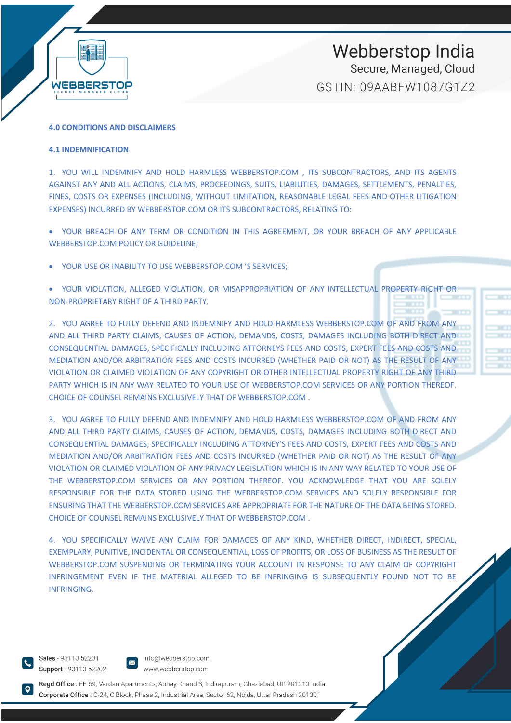

#### **4.0 CONDITIONS AND DISCLAIMERS**

#### **4.1 INDEMNIFICATION**

1. YOU WILL INDEMNIFY AND HOLD HARMLESS WEBBERSTOP.COM , ITS SUBCONTRACTORS, AND ITS AGENTS AGAINST ANY AND ALL ACTIONS, CLAIMS, PROCEEDINGS, SUITS, LIABILITIES, DAMAGES, SETTLEMENTS, PENALTIES, FINES, COSTS OR EXPENSES (INCLUDING, WITHOUT LIMITATION, REASONABLE LEGAL FEES AND OTHER LITIGATION EXPENSES) INCURRED BY WEBBERSTOP.COM OR ITS SUBCONTRACTORS, RELATING TO:

• YOUR BREACH OF ANY TERM OR CONDITION IN THIS AGREEMENT, OR YOUR BREACH OF ANY APPLICABLE WEBBERSTOP.COM POLICY OR GUIDELINE;

YOUR USE OR INABILITY TO USE WEBBERSTOP.COM 'S SERVICES;

• YOUR VIOLATION, ALLEGED VIOLATION, OR MISAPPROPRIATION OF ANY INTELLECTUAL PROPERTY RIGHT OR NON-PROPRIETARY RIGHT OF A THIRD PARTY.

2. YOU AGREE TO FULLY DEFEND AND INDEMNIFY AND HOLD HARMLESS WEBBERSTOP.COM OF AND FROM ANY AND ALL THIRD PARTY CLAIMS, CAUSES OF ACTION, DEMANDS, COSTS, DAMAGES INCLUDING BOTH DIRECT AND CONSEQUENTIAL DAMAGES, SPECIFICALLY INCLUDING ATTORNEYS FEES AND COSTS, EXPERT FEES AND COSTS AND MEDIATION AND/OR ARBITRATION FEES AND COSTS INCURRED (WHETHER PAID OR NOT) AS THE RESULT OF ANY VIOLATION OR CLAIMED VIOLATION OF ANY COPYRIGHT OR OTHER INTELLECTUAL PROPERTY RIGHT OF ANY THIRD PARTY WHICH IS IN ANY WAY RELATED TO YOUR USE OF WEBBERSTOP.COM SERVICES OR ANY PORTION THEREOF. CHOICE OF COUNSEL REMAINS EXCLUSIVELY THAT OF WEBBERSTOP.COM .

3. YOU AGREE TO FULLY DEFEND AND INDEMNIFY AND HOLD HARMLESS WEBBERSTOP.COM OF AND FROM ANY AND ALL THIRD PARTY CLAIMS, CAUSES OF ACTION, DEMANDS, COSTS, DAMAGES INCLUDING BOTH DIRECT AND CONSEQUENTIAL DAMAGES, SPECIFICALLY INCLUDING ATTORNEY'S FEES AND COSTS, EXPERT FEES AND COSTS AND MEDIATION AND/OR ARBITRATION FEES AND COSTS INCURRED (WHETHER PAID OR NOT) AS THE RESULT OF ANY VIOLATION OR CLAIMED VIOLATION OF ANY PRIVACY LEGISLATION WHICH IS IN ANY WAY RELATED TO YOUR USE OF THE WEBBERSTOP.COM SERVICES OR ANY PORTION THEREOF. YOU ACKNOWLEDGE THAT YOU ARE SOLELY RESPONSIBLE FOR THE DATA STORED USING THE WEBBERSTOP.COM SERVICES AND SOLELY RESPONSIBLE FOR ENSURING THAT THE WEBBERSTOP.COM SERVICES ARE APPROPRIATE FOR THE NATURE OF THE DATA BEING STORED. CHOICE OF COUNSEL REMAINS EXCLUSIVELY THAT OF WEBBERSTOP.COM .

4. YOU SPECIFICALLY WAIVE ANY CLAIM FOR DAMAGES OF ANY KIND, WHETHER DIRECT, INDIRECT, SPECIAL, EXEMPLARY, PUNITIVE, INCIDENTAL OR CONSEQUENTIAL, LOSS OF PROFITS, OR LOSS OF BUSINESS AS THE RESULT OF WEBBERSTOP.COM SUSPENDING OR TERMINATING YOUR ACCOUNT IN RESPONSE TO ANY CLAIM OF COPYRIGHT INFRINGEMENT EVEN IF THE MATERIAL ALLEGED TO BE INFRINGING IS SUBSEQUENTLY FOUND NOT TO BE INFRINGING.

Sales - 93110 52201 Support - 93110 52202

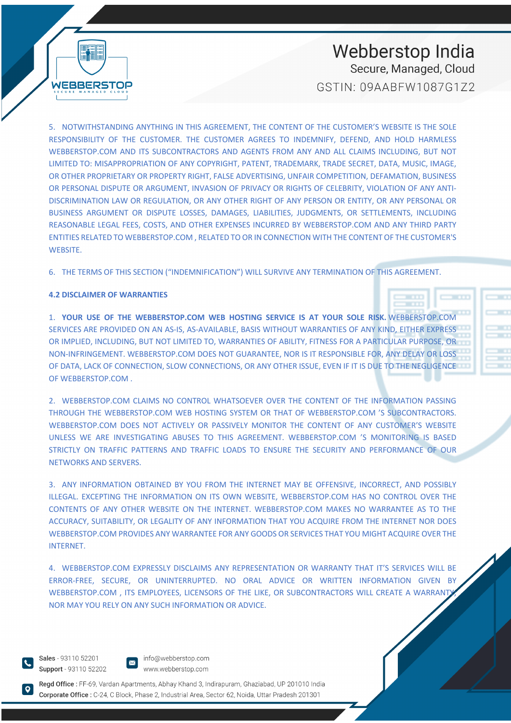5. NOTWITHSTANDING ANYTHING IN THIS AGREEMENT, THE CONTENT OF THE CUSTOMER'S WEBSITE IS THE SOLE RESPONSIBILITY OF THE CUSTOMER. THE CUSTOMER AGREES TO INDEMNIFY, DEFEND, AND HOLD HARMLESS WEBBERSTOP.COM AND ITS SUBCONTRACTORS AND AGENTS FROM ANY AND ALL CLAIMS INCLUDING, BUT NOT LIMITED TO: MISAPPROPRIATION OF ANY COPYRIGHT, PATENT, TRADEMARK, TRADE SECRET, DATA, MUSIC, IMAGE, OR OTHER PROPRIETARY OR PROPERTY RIGHT, FALSE ADVERTISING, UNFAIR COMPETITION, DEFAMATION, BUSINESS OR PERSONAL DISPUTE OR ARGUMENT, INVASION OF PRIVACY OR RIGHTS OF CELEBRITY, VIOLATION OF ANY ANTI-DISCRIMINATION LAW OR REGULATION, OR ANY OTHER RIGHT OF ANY PERSON OR ENTITY, OR ANY PERSONAL OR BUSINESS ARGUMENT OR DISPUTE LOSSES, DAMAGES, LIABILITIES, JUDGMENTS, OR SETTLEMENTS, INCLUDING REASONABLE LEGAL FEES, COSTS, AND OTHER EXPENSES INCURRED BY WEBBERSTOP.COM AND ANY THIRD PARTY ENTITIES RELATED TO WEBBERSTOP.COM , RELATED TO OR IN CONNECTION WITH THE CONTENT OF THE CUSTOMER'S

6. THE TERMS OF THIS SECTION ("INDEMNIFICATION") WILL SURVIVE ANY TERMINATION OF THIS AGREEMENT.

#### **4.2 DISCLAIMER OF WARRANTIES**

WEBBERSTOP

WEBSITE.

1. **YOUR USE OF THE WEBBERSTOP.COM WEB HOSTING SERVICE IS AT YOUR SOLE RISK.** WEBBERSTOP.COM SERVICES ARE PROVIDED ON AN AS-IS, AS-AVAILABLE, BASIS WITHOUT WARRANTIES OF ANY KIND, EITHER EXPRESS OR IMPLIED, INCLUDING, BUT NOT LIMITED TO, WARRANTIES OF ABILITY, FITNESS FOR A PARTICULAR PURPOSE, OR NON-INFRINGEMENT. WEBBERSTOP.COM DOES NOT GUARANTEE, NOR IS IT RESPONSIBLE FOR, ANY DELAY OR LOSS OF DATA, LACK OF CONNECTION, SLOW CONNECTIONS, OR ANY OTHER ISSUE, EVEN IF IT IS DUE TO THE NEGLIGENCE OF WEBBERSTOP.COM .

2. WEBBERSTOP.COM CLAIMS NO CONTROL WHATSOEVER OVER THE CONTENT OF THE INFORMATION PASSING THROUGH THE WEBBERSTOP.COM WEB HOSTING SYSTEM OR THAT OF WEBBERSTOP.COM 'S SUBCONTRACTORS. WEBBERSTOP.COM DOES NOT ACTIVELY OR PASSIVELY MONITOR THE CONTENT OF ANY CUSTOMER'S WEBSITE UNLESS WE ARE INVESTIGATING ABUSES TO THIS AGREEMENT. WEBBERSTOP.COM 'S MONITORING IS BASED STRICTLY ON TRAFFIC PATTERNS AND TRAFFIC LOADS TO ENSURE THE SECURITY AND PERFORMANCE OF OUR NETWORKS AND SERVERS.

3. ANY INFORMATION OBTAINED BY YOU FROM THE INTERNET MAY BE OFFENSIVE, INCORRECT, AND POSSIBLY ILLEGAL. EXCEPTING THE INFORMATION ON ITS OWN WEBSITE, WEBBERSTOP.COM HAS NO CONTROL OVER THE CONTENTS OF ANY OTHER WEBSITE ON THE INTERNET. WEBBERSTOP.COM MAKES NO WARRANTEE AS TO THE ACCURACY, SUITABILITY, OR LEGALITY OF ANY INFORMATION THAT YOU ACQUIRE FROM THE INTERNET NOR DOES WEBBERSTOP.COM PROVIDES ANY WARRANTEE FOR ANY GOODS OR SERVICES THAT YOU MIGHT ACQUIRE OVER THE INTERNET.

4. WEBBERSTOP.COM EXPRESSLY DISCLAIMS ANY REPRESENTATION OR WARRANTY THAT IT'S SERVICES WILL BE ERROR-FREE, SECURE, OR UNINTERRUPTED. NO ORAL ADVICE OR WRITTEN INFORMATION GIVEN BY WEBBERSTOP.COM , ITS EMPLOYEES, LICENSORS OF THE LIKE, OR SUBCONTRACTORS WILL CREATE A WARRANT NOR MAY YOU RELY ON ANY SUCH INFORMATION OR ADVICE.

Sales - 93110 52201 Support - 93110 52202 info@webberstop.com www.webberstop.com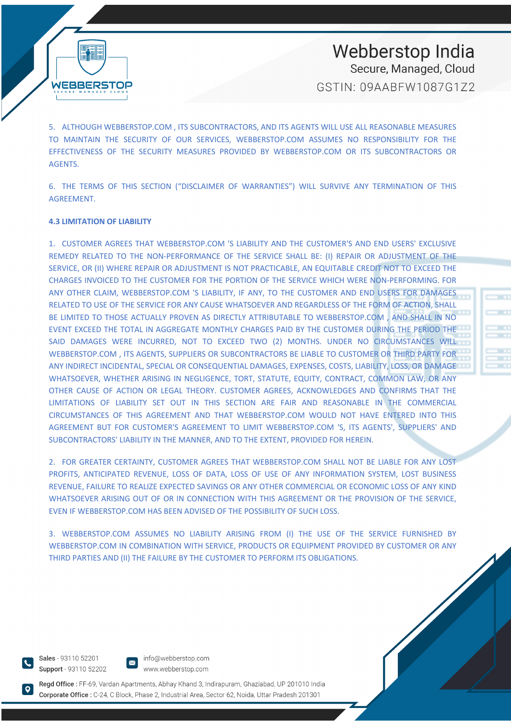5. ALTHOUGH WEBBERSTOP.COM , ITS SUBCONTRACTORS, AND ITS AGENTS WILL USE ALL REASONABLE MEASURES TO MAINTAIN THE SECURITY OF OUR SERVICES, WEBBERSTOP.COM ASSUMES NO RESPONSIBILITY FOR THE EFFECTIVENESS OF THE SECURITY MEASURES PROVIDED BY WEBBERSTOP.COM OR ITS SUBCONTRACTORS OR AGENTS.

6. THE TERMS OF THIS SECTION ("DISCLAIMER OF WARRANTIES") WILL SURVIVE ANY TERMINATION OF THIS AGREEMENT.

#### **4.3 LIMITATION OF LIABILITY**

**WEBBERSTOP** 

1. CUSTOMER AGREES THAT WEBBERSTOP.COM 'S LIABILITY AND THE CUSTOMER'S AND END USERS' EXCLUSIVE REMEDY RELATED TO THE NON-PERFORMANCE OF THE SERVICE SHALL BE: (I) REPAIR OR ADJUSTMENT OF THE SERVICE, OR (II) WHERE REPAIR OR ADJUSTMENT IS NOT PRACTICABLE, AN EQUITABLE CREDIT NOT TO EXCEED THE CHARGES INVOICED TO THE CUSTOMER FOR THE PORTION OF THE SERVICE WHICH WERE NON-PERFORMING. FOR ANY OTHER CLAIM, WEBBERSTOP.COM 'S LIABILITY, IF ANY, TO THE CUSTOMER AND END USERS FOR DAMAGES RELATED TO USE OF THE SERVICE FOR ANY CAUSE WHATSOEVER AND REGARDLESS OF THE FORM OF ACTION, SHALL BE LIMITED TO THOSE ACTUALLY PROVEN AS DIRECTLY ATTRIBUTABLE TO WEBBERSTOP.COM , AND SHALL IN NO EVENT EXCEED THE TOTAL IN AGGREGATE MONTHLY CHARGES PAID BY THE CUSTOMER DURING THE PERIOD THE SAID DAMAGES WERE INCURRED, NOT TO EXCEED TWO (2) MONTHS. UNDER NO CIRCUMSTANCES WILL WEBBERSTOP.COM , ITS AGENTS, SUPPLIERS OR SUBCONTRACTORS BE LIABLE TO CUSTOMER OR THIRD PARTY FOR ANY INDIRECT INCIDENTAL, SPECIAL OR CONSEQUENTIAL DAMAGES, EXPENSES, COSTS, LIABILITY, LOSS, OR DAMAGE WHATSOEVER, WHETHER ARISING IN NEGLIGENCE, TORT, STATUTE, EQUITY, CONTRACT, COMMON LAW, OR ANY OTHER CAUSE OF ACTION OR LEGAL THEORY. CUSTOMER AGREES, ACKNOWLEDGES AND CONFIRMS THAT THE LIMITATIONS OF LIABILITY SET OUT IN THIS SECTION ARE FAIR AND REASONABLE IN THE COMMERCIAL CIRCUMSTANCES OF THIS AGREEMENT AND THAT WEBBERSTOP.COM WOULD NOT HAVE ENTERED INTO THIS AGREEMENT BUT FOR CUSTOMER'S AGREEMENT TO LIMIT WEBBERSTOP.COM 'S, ITS AGENTS', SUPPLIERS' AND SUBCONTRACTORS' LIABILITY IN THE MANNER, AND TO THE EXTENT, PROVIDED FOR HEREIN.

2. FOR GREATER CERTAINTY, CUSTOMER AGREES THAT WEBBERSTOP.COM SHALL NOT BE LIABLE FOR ANY LOST PROFITS, ANTICIPATED REVENUE, LOSS OF DATA, LOSS OF USE OF ANY INFORMATION SYSTEM, LOST BUSINESS REVENUE, FAILURE TO REALIZE EXPECTED SAVINGS OR ANY OTHER COMMERCIAL OR ECONOMIC LOSS OF ANY KIND WHATSOEVER ARISING OUT OF OR IN CONNECTION WITH THIS AGREEMENT OR THE PROVISION OF THE SERVICE, EVEN IF WEBBERSTOP.COM HAS BEEN ADVISED OF THE POSSIBILITY OF SUCH LOSS.

3. WEBBERSTOP.COM ASSUMES NO LIABILITY ARISING FROM (I) THE USE OF THE SERVICE FURNISHED BY WEBBERSTOP.COM IN COMBINATION WITH SERVICE, PRODUCTS OR EQUIPMENT PROVIDED BY CUSTOMER OR ANY THIRD PARTIES AND (II) THE FAILURE BY THE CUSTOMER TO PERFORM ITS OBLIGATIONS.

Sales - 93110 52201 Support - 93110 52202

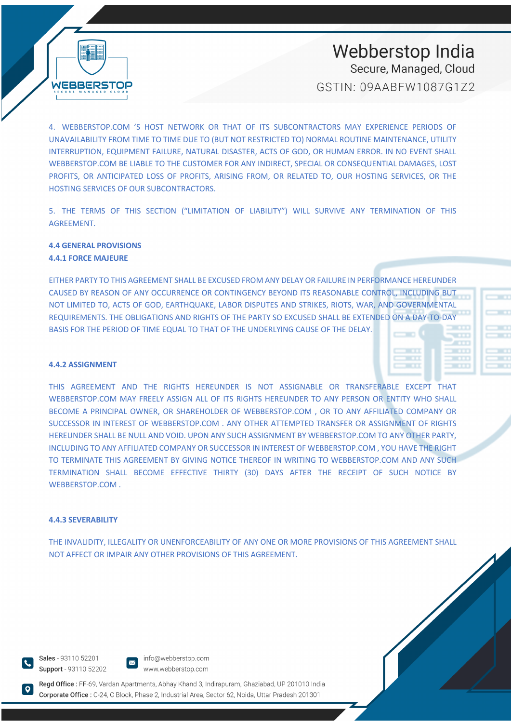WEBBERSTOP

# Webberstop India Secure, Managed, Cloud

GSTIN: 09AABFW1087G172

4. WEBBERSTOP.COM 'S HOST NETWORK OR THAT OF ITS SUBCONTRACTORS MAY EXPERIENCE PERIODS OF UNAVAILABILITY FROM TIME TO TIME DUE TO (BUT NOT RESTRICTED TO) NORMAL ROUTINE MAINTENANCE, UTILITY INTERRUPTION, EQUIPMENT FAILURE, NATURAL DISASTER, ACTS OF GOD, OR HUMAN ERROR. IN NO EVENT SHALL WEBBERSTOP.COM BE LIABLE TO THE CUSTOMER FOR ANY INDIRECT, SPECIAL OR CONSEQUENTIAL DAMAGES, LOST PROFITS, OR ANTICIPATED LOSS OF PROFITS, ARISING FROM, OR RELATED TO, OUR HOSTING SERVICES, OR THE HOSTING SERVICES OF OUR SUBCONTRACTORS.

5. THE TERMS OF THIS SECTION ("LIMITATION OF LIABILITY") WILL SURVIVE ANY TERMINATION OF THIS AGREEMENT.

#### **4.4 GENERAL PROVISIONS 4.4.1 FORCE MAJEURE**

EITHER PARTY TO THIS AGREEMENT SHALL BE EXCUSED FROM ANY DELAY OR FAILURE IN PERFORMANCE HEREUNDER CAUSED BY REASON OF ANY OCCURRENCE OR CONTINGENCY BEYOND ITS REASONABLE CONTROL, INCLUDING BUT NOT LIMITED TO, ACTS OF GOD, EARTHQUAKE, LABOR DISPUTES AND STRIKES, RIOTS, WAR, AND GOVERNMENTAL REQUIREMENTS. THE OBLIGATIONS AND RIGHTS OF THE PARTY SO EXCUSED SHALL BE EXTENDED ON A DAY-TO-DAY BASIS FOR THE PERIOD OF TIME EQUAL TO THAT OF THE UNDERLYING CAUSE OF THE DELAY.

#### **4.4.2 ASSIGNMENT**

THIS AGREEMENT AND THE RIGHTS HEREUNDER IS NOT ASSIGNABLE OR TRANSFERABLE EXCEPT THAT WEBBERSTOP.COM MAY FREELY ASSIGN ALL OF ITS RIGHTS HEREUNDER TO ANY PERSON OR ENTITY WHO SHALL BECOME A PRINCIPAL OWNER, OR SHAREHOLDER OF WEBBERSTOP.COM , OR TO ANY AFFILIATED COMPANY OR SUCCESSOR IN INTEREST OF WEBBERSTOP.COM . ANY OTHER ATTEMPTED TRANSFER OR ASSIGNMENT OF RIGHTS HEREUNDER SHALL BE NULL AND VOID. UPON ANY SUCH ASSIGNMENT BY WEBBERSTOP.COM TO ANY OTHER PARTY, INCLUDING TO ANY AFFILIATED COMPANY OR SUCCESSOR IN INTEREST OF WEBBERSTOP.COM , YOU HAVE THE RIGHT TO TERMINATE THIS AGREEMENT BY GIVING NOTICE THEREOF IN WRITING TO WEBBERSTOP.COM AND ANY SUCH TERMINATION SHALL BECOME EFFECTIVE THIRTY (30) DAYS AFTER THE RECEIPT OF SUCH NOTICE BY WEBBERSTOP.COM .

#### **4.4.3 SEVERABILITY**

THE INVALIDITY, ILLEGALITY OR UNENFORCEABILITY OF ANY ONE OR MORE PROVISIONS OF THIS AGREEMENT SHALL NOT AFFECT OR IMPAIR ANY OTHER PROVISIONS OF THIS AGREEMENT.

Sales - 93110 52201 Support - 93110 52202



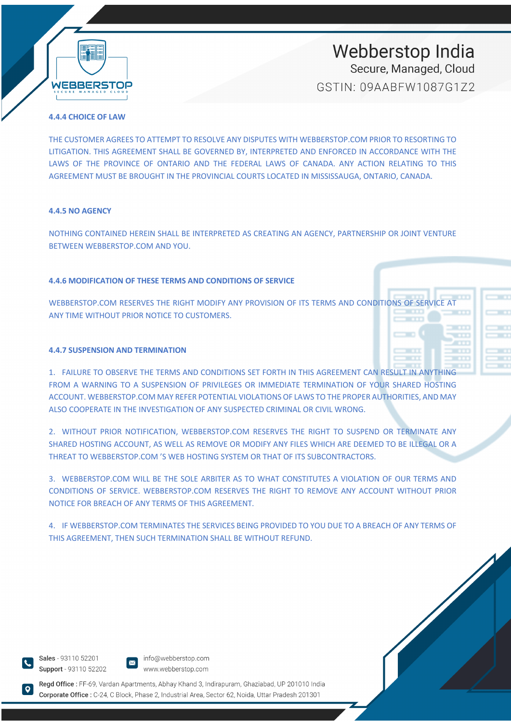

# Webberstop India Secure, Managed, Cloud

GSTIN: 09AABFW1087G172

#### **4.4.4 CHOICE OF LAW**

THE CUSTOMER AGREES TO ATTEMPT TO RESOLVE ANY DISPUTES WITH WEBBERSTOP.COM PRIOR TO RESORTING TO LITIGATION. THIS AGREEMENT SHALL BE GOVERNED BY, INTERPRETED AND ENFORCED IN ACCORDANCE WITH THE LAWS OF THE PROVINCE OF ONTARIO AND THE FEDERAL LAWS OF CANADA. ANY ACTION RELATING TO THIS AGREEMENT MUST BE BROUGHT IN THE PROVINCIAL COURTS LOCATED IN MISSISSAUGA, ONTARIO, CANADA.

#### **4.4.5 NO AGENCY**

NOTHING CONTAINED HEREIN SHALL BE INTERPRETED AS CREATING AN AGENCY, PARTNERSHIP OR JOINT VENTURE BETWEEN WEBBERSTOP.COM AND YOU.

#### **4.4.6 MODIFICATION OF THESE TERMS AND CONDITIONS OF SERVICE**

WEBBERSTOP.COM RESERVES THE RIGHT MODIFY ANY PROVISION OF ITS TERMS AND CONDITIONS OF SERVICE AT ANY TIME WITHOUT PRIOR NOTICE TO CUSTOMERS.

#### **4.4.7 SUSPENSION AND TERMINATION**

1. FAILURE TO OBSERVE THE TERMS AND CONDITIONS SET FORTH IN THIS AGREEMENT CAN RESULT IN ANYTHING FROM A WARNING TO A SUSPENSION OF PRIVILEGES OR IMMEDIATE TERMINATION OF YOUR SHARED HOSTING ACCOUNT. WEBBERSTOP.COM MAY REFER POTENTIAL VIOLATIONS OF LAWS TO THE PROPER AUTHORITIES, AND MAY ALSO COOPERATE IN THE INVESTIGATION OF ANY SUSPECTED CRIMINAL OR CIVIL WRONG.

2. WITHOUT PRIOR NOTIFICATION, WEBBERSTOP.COM RESERVES THE RIGHT TO SUSPEND OR TERMINATE ANY SHARED HOSTING ACCOUNT, AS WELL AS REMOVE OR MODIFY ANY FILES WHICH ARE DEEMED TO BE ILLEGAL OR A THREAT TO WEBBERSTOP.COM 'S WEB HOSTING SYSTEM OR THAT OF ITS SUBCONTRACTORS.

3. WEBBERSTOP.COM WILL BE THE SOLE ARBITER AS TO WHAT CONSTITUTES A VIOLATION OF OUR TERMS AND CONDITIONS OF SERVICE. WEBBERSTOP.COM RESERVES THE RIGHT TO REMOVE ANY ACCOUNT WITHOUT PRIOR NOTICE FOR BREACH OF ANY TERMS OF THIS AGREEMENT.

4. IF WEBBERSTOP.COM TERMINATES THE SERVICES BEING PROVIDED TO YOU DUE TO A BREACH OF ANY TERMS OF THIS AGREEMENT, THEN SUCH TERMINATION SHALL BE WITHOUT REFUND.

Sales - 93110 52201 Support - 93110 52202